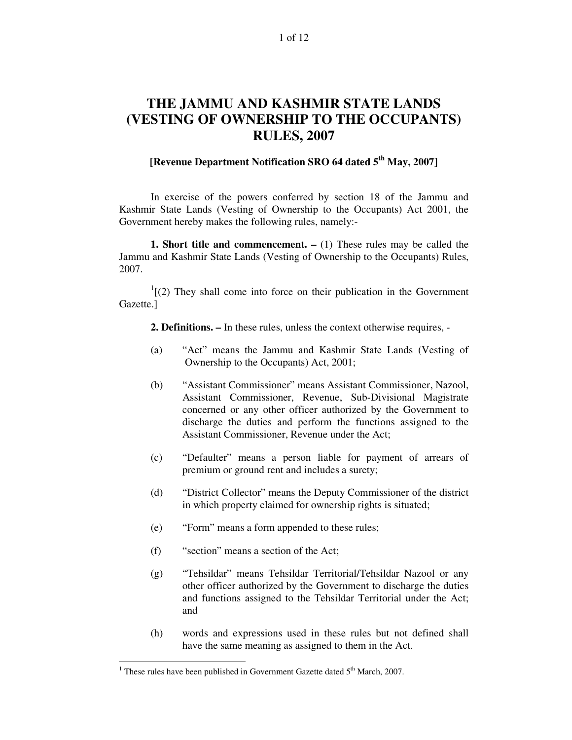#### 1 of 12

# **THE JAMMU AND KASHMIR STATE LANDS (VESTING OF OWNERSHIP TO THE OCCUPANTS) RULES, 2007**

# **[Revenue Department Notification SRO 64 dated 5 th May, 2007]**

In exercise of the powers conferred by section 18 of the Jammu and Kashmir State Lands (Vesting of Ownership to the Occupants) Act 2001, the Government hereby makes the following rules, namely:-

**1. Short title and commencement. –** (1) These rules may be called the Jammu and Kashmir State Lands (Vesting of Ownership to the Occupants) Rules, 2007.

 $1(2)$  They shall come into force on their publication in the Government Gazette.]

**2. Definitions. –** In these rules, unless the context otherwise requires, -

- (a) "Act" means the Jammu and Kashmir State Lands (Vesting of Ownership to the Occupants) Act, 2001;
- (b) "Assistant Commissioner" means Assistant Commissioner, Nazool, Assistant Commissioner, Revenue, Sub-Divisional Magistrate concerned or any other officer authorized by the Government to discharge the duties and perform the functions assigned to the Assistant Commissioner, Revenue under the Act;
- (c) "Defaulter" means a person liable for payment of arrears of premium or ground rent and includes a surety;
- (d) "District Collector" means the Deputy Commissioner of the district in which property claimed for ownership rights is situated;
- (e) "Form" means a form appended to these rules;
- (f) "section" means a section of the Act;
- (g) "Tehsildar" means Tehsildar Territorial/Tehsildar Nazool or any other officer authorized by the Government to discharge the duties and functions assigned to the Tehsildar Territorial under the Act; and
- (h) words and expressions used in these rules but not defined shall have the same meaning as assigned to them in the Act.

<sup>&</sup>lt;sup>1</sup> These rules have been published in Government Gazette dated  $5<sup>th</sup>$  March, 2007.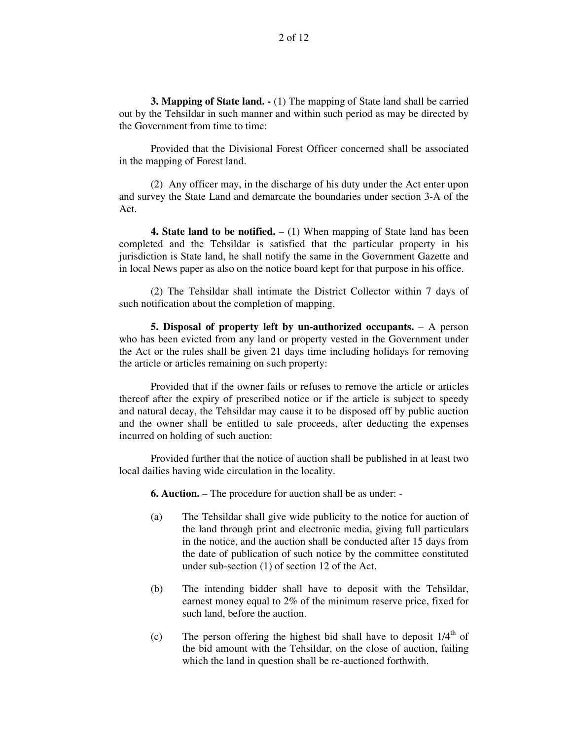**3. Mapping of State land. -** (1) The mapping of State land shall be carried out by the Tehsildar in such manner and within such period as may be directed by the Government from time to time:

Provided that the Divisional Forest Officer concerned shall be associated in the mapping of Forest land.

(2) Any officer may, in the discharge of his duty under the Act enter upon and survey the State Land and demarcate the boundaries under section 3-A of the Act.

**4. State land to be notified.** – (1) When mapping of State land has been completed and the Tehsildar is satisfied that the particular property in his jurisdiction is State land, he shall notify the same in the Government Gazette and in local News paper as also on the notice board kept for that purpose in his office.

(2) The Tehsildar shall intimate the District Collector within 7 days of such notification about the completion of mapping.

**5. Disposal of property left by un-authorized occupants.** – A person who has been evicted from any land or property vested in the Government under the Act or the rules shall be given 21 days time including holidays for removing the article or articles remaining on such property:

Provided that if the owner fails or refuses to remove the article or articles thereof after the expiry of prescribed notice or if the article is subject to speedy and natural decay, the Tehsildar may cause it to be disposed off by public auction and the owner shall be entitled to sale proceeds, after deducting the expenses incurred on holding of such auction:

Provided further that the notice of auction shall be published in at least two local dailies having wide circulation in the locality.

**6. Auction.** – The procedure for auction shall be as under: -

- (a) The Tehsildar shall give wide publicity to the notice for auction of the land through print and electronic media, giving full particulars in the notice, and the auction shall be conducted after 15 days from the date of publication of such notice by the committee constituted under sub-section (1) of section 12 of the Act.
- (b) The intending bidder shall have to deposit with the Tehsildar, earnest money equal to 2% of the minimum reserve price, fixed for such land, before the auction.
- (c) The person offering the highest bid shall have to deposit  $1/4<sup>th</sup>$  of the bid amount with the Tehsildar, on the close of auction, failing which the land in question shall be re-auctioned forthwith.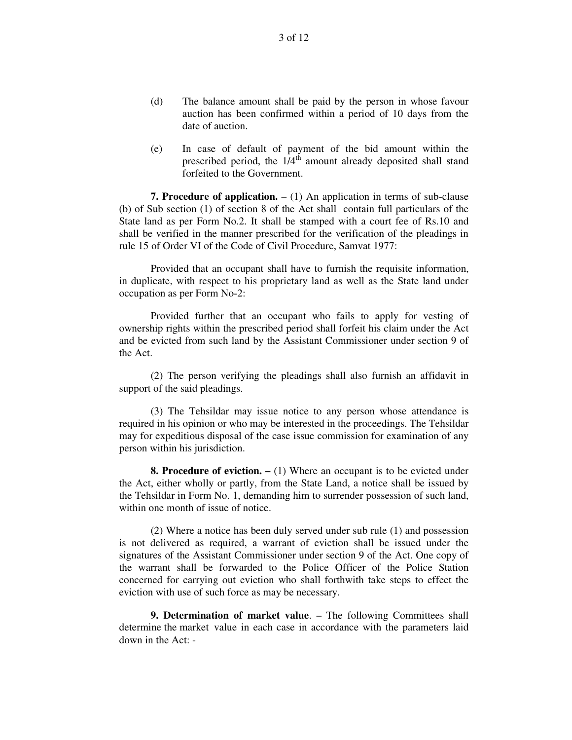- (d) The balance amount shall be paid by the person in whose favour auction has been confirmed within a period of 10 days from the date of auction.
- (e) In case of default of payment of the bid amount within the prescribed period, the  $1/4$ <sup>th</sup> amount already deposited shall stand forfeited to the Government.

**7. Procedure of application.** – (1) An application in terms of sub-clause (b) of Sub section (1) of section 8 of the Act shall contain full particulars of the State land as per Form No.2. It shall be stamped with a court fee of Rs.10 and shall be verified in the manner prescribed for the verification of the pleadings in rule 15 of Order VI of the Code of Civil Procedure, Samvat 1977:

Provided that an occupant shall have to furnish the requisite information, in duplicate, with respect to his proprietary land as well as the State land under occupation as per Form No-2:

Provided further that an occupant who fails to apply for vesting of ownership rights within the prescribed period shall forfeit his claim under the Act and be evicted from such land by the Assistant Commissioner under section 9 of the Act.

(2) The person verifying the pleadings shall also furnish an affidavit in support of the said pleadings.

(3) The Tehsildar may issue notice to any person whose attendance is required in his opinion or who may be interested in the proceedings. The Tehsildar may for expeditious disposal of the case issue commission for examination of any person within his jurisdiction.

**8. Procedure of eviction. –** (1) Where an occupant is to be evicted under the Act, either wholly or partly, from the State Land, a notice shall be issued by the Tehsildar in Form No. 1, demanding him to surrender possession of such land, within one month of issue of notice.

(2) Where a notice has been duly served under sub rule (1) and possession is not delivered as required, a warrant of eviction shall be issued under the signatures of the Assistant Commissioner under section 9 of the Act. One copy of the warrant shall be forwarded to the Police Officer of the Police Station concerned for carrying out eviction who shall forthwith take steps to effect the eviction with use of such force as may be necessary.

**9. Determination of market value**. – The following Committees shall determine the market value in each case in accordance with the parameters laid down in the Act: -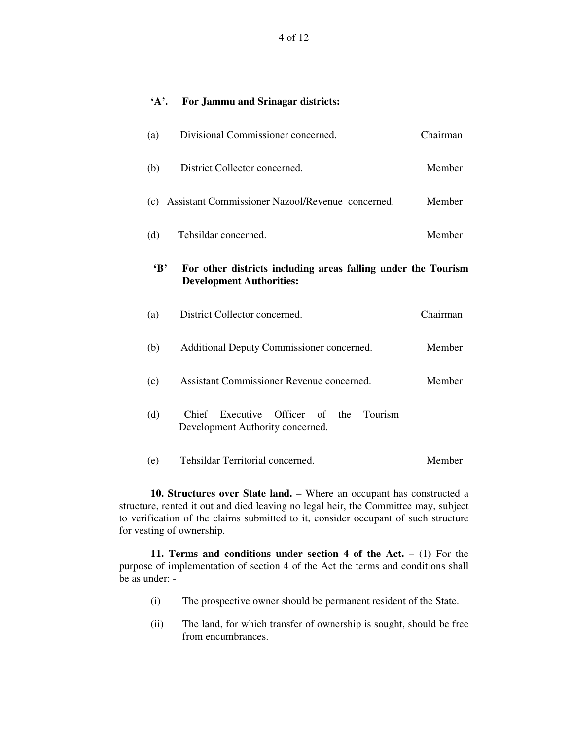### **'A'. For Jammu and Srinagar districts:**

| (a)          | Divisional Commissioner concerned.                                                               | Chairman |
|--------------|--------------------------------------------------------------------------------------------------|----------|
| (b)          | District Collector concerned.                                                                    | Member   |
| (c)          | Assistant Commissioner Nazool/Revenue concerned.                                                 | Member   |
| (d)          | Tehsildar concerned.                                                                             | Member   |
| $\mathbf{B}$ | For other districts including areas falling under the Tourism<br><b>Development Authorities:</b> |          |
| (a)          | District Collector concerned.                                                                    | Chairman |
| (b)          | Additional Deputy Commissioner concerned.                                                        | Member   |
| (c)          | Assistant Commissioner Revenue concerned.                                                        | Member   |
| (d)          | Executive Officer of<br>Tourism<br>Chief<br>the<br>Development Authority concerned.              |          |
|              |                                                                                                  |          |

**10. Structures over State land.** – Where an occupant has constructed a structure, rented it out and died leaving no legal heir, the Committee may, subject to verification of the claims submitted to it, consider occupant of such structure for vesting of ownership.

**11. Terms and conditions under section 4 of the Act.** – (1) For the purpose of implementation of section 4 of the Act the terms and conditions shall be as under: -

- (i) The prospective owner should be permanent resident of the State.
- (ii) The land, for which transfer of ownership is sought, should be free from encumbrances.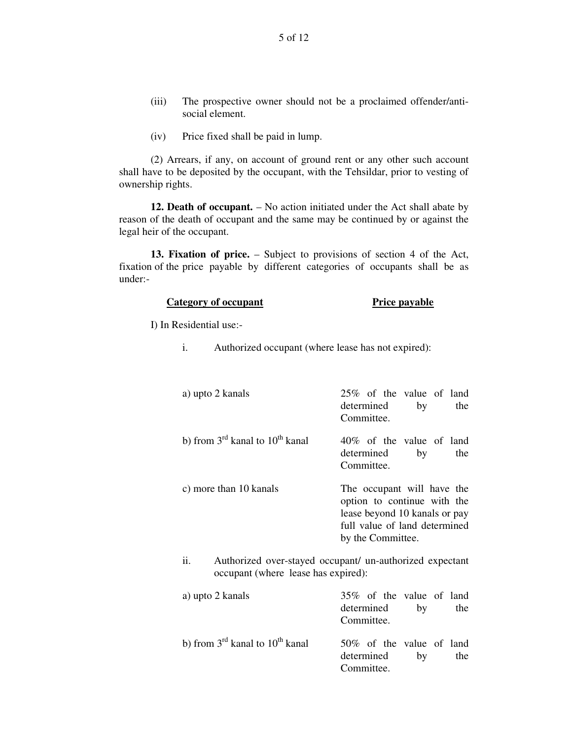- (iii) The prospective owner should not be a proclaimed offender/antisocial element.
- (iv) Price fixed shall be paid in lump.

(2) Arrears, if any, on account of ground rent or any other such account shall have to be deposited by the occupant, with the Tehsildar, prior to vesting of ownership rights.

**12. Death of occupant.** – No action initiated under the Act shall abate by reason of the death of occupant and the same may be continued by or against the legal heir of the occupant.

**13. Fixation of price.** – Subject to provisions of section 4 of the Act, fixation of the price payable by different categories of occupants shall be as under:-

#### **Category** of **occupant Price Price Price Price Price Price Price Price Price Price Price Price Price Price Price Price Price Price Price Price Price Price Price Price Pric**

I) In Residential use:-

i. Authorized occupant (where lease has not expired):

| a) upto 2 kanals                           | 25% of the value of land<br>determined<br>the<br>by<br>Committee.                                                                                |
|--------------------------------------------|--------------------------------------------------------------------------------------------------------------------------------------------------|
| b) from $3^{rd}$ kanal to $10^{th}$ kanal  | 40\% of the value of land<br>determined<br>by<br>the<br>Committee.                                                                               |
| c) more than 10 kanals                     | The occupant will have the<br>option to continue with the<br>lease beyond 10 kanals or pay<br>full value of land determined<br>by the Committee. |
| ii.<br>occupant (where lease has expired): | Authorized over-stayed occupant/ un-authorized expectant                                                                                         |

| a) upto 2 kanals                                        | 35% of the value of land                                   |     |
|---------------------------------------------------------|------------------------------------------------------------|-----|
|                                                         | determined<br>by                                           | the |
|                                                         | Committee.                                                 |     |
| b) from $3^{\text{rd}}$ kanal to $10^{\text{th}}$ kanal | 50% of the value of land<br>determined<br>bv<br>Committee. | the |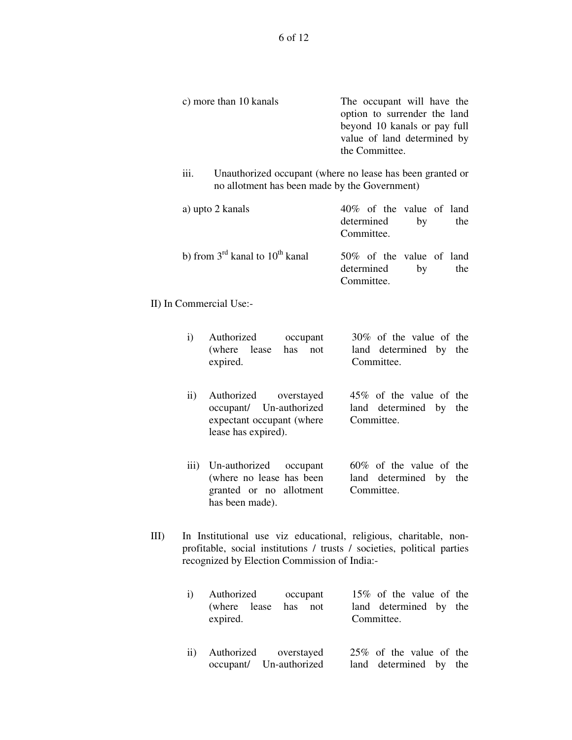| c) more than 10 kanals | The occupant will have the   |
|------------------------|------------------------------|
|                        | option to surrender the land |
|                        | beyond 10 kanals or pay full |
|                        | value of land determined by  |
|                        | the Committee.               |
|                        |                              |

iii. Unauthorized occupant (where no lease has been granted or no allotment has been made by the Government)

| a) upto 2 kanals                                        | 40\% of the value of land                                       |     |
|---------------------------------------------------------|-----------------------------------------------------------------|-----|
|                                                         | determined<br>$-$ by                                            | the |
|                                                         | Committee.                                                      |     |
| b) from $3^{\text{rd}}$ kanal to $10^{\text{th}}$ kanal | 50\% of the value of land<br>determined<br>$-$ by<br>Committee. | the |

II) In Commercial Use:-

| $\mathbf{i}$     | Authorized<br>occupant<br>(where lease has not<br>expired.                                           | 30\% of the value of the<br>land determined by the<br>Committee.   |
|------------------|------------------------------------------------------------------------------------------------------|--------------------------------------------------------------------|
| $\mathbf{ii}$    | Authorized overstayed<br>occupant/ Un-authorized<br>expectant occupant (where<br>lease has expired). | 45% of the value of the<br>land determined by the<br>Committee.    |
| $\overline{111}$ | Un-authorized occupant<br>(where no lease has been<br>granted or no allotment<br>has been made).     | $60\%$ of the value of the<br>land determined by the<br>Committee. |

III) In Institutional use viz educational, religious, charitable, nonprofitable, social institutions / trusts / societies, political parties recognized by Election Commission of India:-

|                 | Authorized occupant     | 15% of the value of the |
|-----------------|-------------------------|-------------------------|
|                 | (where lease has not    | land determined by the  |
|                 | expired.                | Committee.              |
|                 |                         |                         |
|                 |                         |                         |
| $\overline{11}$ | Authorized overstayed   | 25% of the value of the |
|                 | occupant/ Un-authorized | land determined by the  |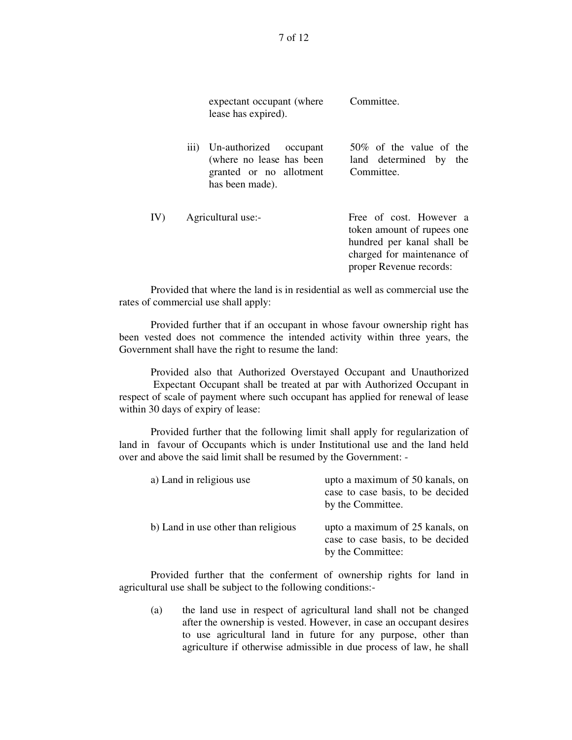|     | expectant occupant (where<br>lease has expired).                                                      | Committee.                                                                                                                                   |
|-----|-------------------------------------------------------------------------------------------------------|----------------------------------------------------------------------------------------------------------------------------------------------|
|     | iii) Un-authorized occupant<br>(where no lease has been<br>granted or no allotment<br>has been made). | $50\%$ of the value of the<br>land determined by the<br>Committee.                                                                           |
| IV) | Agricultural use:-                                                                                    | Free of cost. However a<br>token amount of rupees one<br>hundred per kanal shall be<br>charged for maintenance of<br>proper Revenue records: |
|     |                                                                                                       |                                                                                                                                              |

Provided that where the land is in residential as well as commercial use the rates of commercial use shall apply:

Provided further that if an occupant in whose favour ownership right has been vested does not commence the intended activity within three years, the Government shall have the right to resume the land:

Provided also that Authorized Overstayed Occupant and Unauthorized Expectant Occupant shall be treated at par with Authorized Occupant in respect of scale of payment where such occupant has applied for renewal of lease within 30 days of expiry of lease:

Provided further that the following limit shall apply for regularization of land in favour of Occupants which is under Institutional use and the land held over and above the said limit shall be resumed by the Government: -

| a) Land in religious use            | upto a maximum of 50 kanals, on<br>case to case basis, to be decided<br>by the Committee. |
|-------------------------------------|-------------------------------------------------------------------------------------------|
| b) Land in use other than religious | upto a maximum of 25 kanals, on<br>case to case basis, to be decided<br>by the Committee: |

Provided further that the conferment of ownership rights for land in agricultural use shall be subject to the following conditions:-

(a) the land use in respect of agricultural land shall not be changed after the ownership is vested. However, in case an occupant desires to use agricultural land in future for any purpose, other than agriculture if otherwise admissible in due process of law, he shall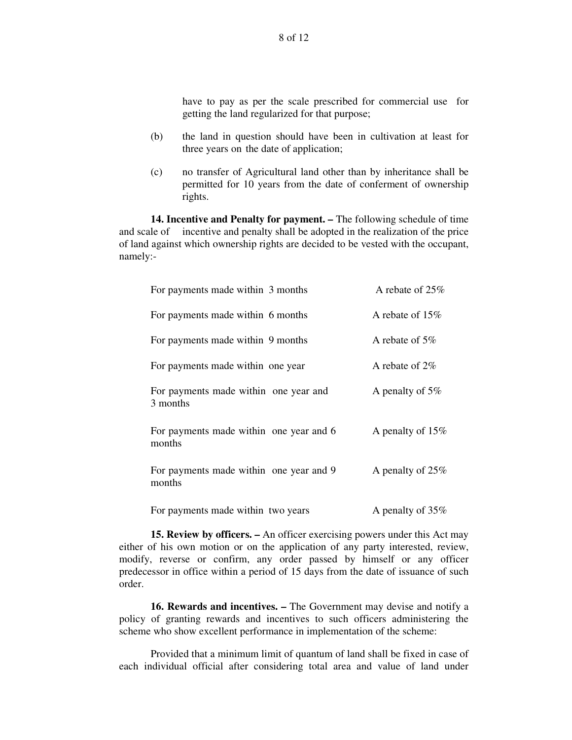have to pay as per the scale prescribed for commercial use for getting the land regularized for that purpose;

- (b) the land in question should have been in cultivation at least for three years on the date of application;
- (c) no transfer of Agricultural land other than by inheritance shall be permitted for 10 years from the date of conferment of ownership rights.

**14. Incentive and Penalty for payment. –** The following schedule of time and scale of incentive and penalty shall be adopted in the realization of the price of land against which ownership rights are decided to be vested with the occupant, namely:-

| For payments made within 3 months                 | A rebate of $25\%$ |
|---------------------------------------------------|--------------------|
| For payments made within 6 months                 | A rebate of $15\%$ |
| For payments made within 9 months                 | A rebate of $5\%$  |
| For payments made within one year                 | A rebate of $2\%$  |
| For payments made within one year and<br>3 months | A penalty of $5\%$ |
| For payments made within one year and 6<br>months | A penalty of 15%   |
| For payments made within one year and 9<br>months | A penalty of 25%   |
| For payments made within two years                | A penalty of 35%   |

**15. Review by officers. –** An officer exercising powers under this Act may either of his own motion or on the application of any party interested, review, modify, reverse or confirm, any order passed by himself or any officer predecessor in office within a period of 15 days from the date of issuance of such order.

**16. Rewards and incentives. –** The Government may devise and notify a policy of granting rewards and incentives to such officers administering the scheme who show excellent performance in implementation of the scheme:

Provided that a minimum limit of quantum of land shall be fixed in case of each individual official after considering total area and value of land under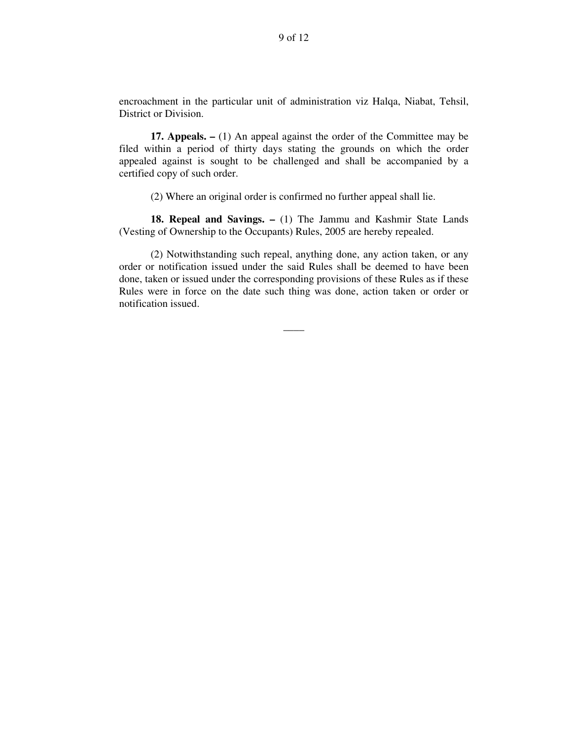encroachment in the particular unit of administration viz Halqa, Niabat, Tehsil, District or Division.

**17. Appeals. –** (1) An appeal against the order of the Committee may be filed within a period of thirty days stating the grounds on which the order appealed against is sought to be challenged and shall be accompanied by a certified copy of such order.

(2) Where an original order is confirmed no further appeal shall lie.

**18. Repeal and Savings. –** (1) The Jammu and Kashmir State Lands (Vesting of Ownership to the Occupants) Rules, 2005 are hereby repealed.

(2) Notwithstanding such repeal, anything done, any action taken, or any order or notification issued under the said Rules shall be deemed to have been done, taken or issued under the corresponding provisions of these Rules as if these Rules were in force on the date such thing was done, action taken or order or notification issued.

 $\overline{\phantom{a}}$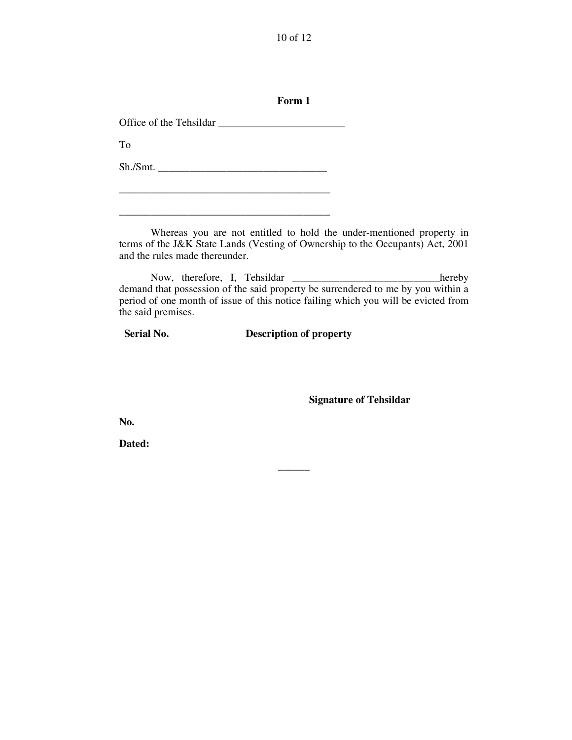10 of 12

**Form 1**

Office of the Tehsildar \_\_\_\_\_\_\_\_\_\_\_\_\_\_\_\_\_\_\_\_\_\_\_\_

To

Sh./Smt. \_\_\_\_\_\_\_\_\_\_\_\_\_\_\_\_\_\_\_\_\_\_\_\_\_\_\_\_\_\_\_\_

\_\_\_\_\_\_\_\_\_\_\_\_\_\_\_\_\_\_\_\_\_\_\_\_\_\_\_\_\_\_\_\_\_\_\_\_\_\_\_\_

\_\_\_\_\_\_\_\_\_\_\_\_\_\_\_\_\_\_\_\_\_\_\_\_\_\_\_\_\_\_\_\_\_\_\_\_\_\_\_\_

Whereas you are not entitled to hold the under-mentioned property in terms of the J&K State Lands (Vesting of Ownership to the Occupants) Act, 2001 and the rules made thereunder.

Now, therefore, I, Tehsildar \_\_\_\_\_\_\_\_\_\_\_\_\_\_\_\_\_\_\_\_\_\_\_\_\_\_\_\_\_\_hereby demand that possession of the said property be surrendered to me by you within a period of one month of issue of this notice failing which you will be evicted from the said premises.

**Serial No. Description of property**

**\_\_\_\_\_\_**

**Signature of Tehsildar**

**No.**

**Dated:**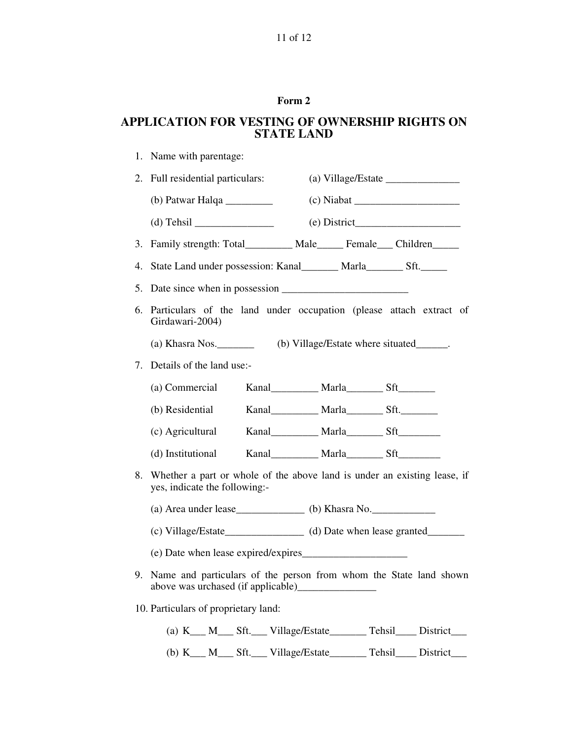## **Form 2**

# **APPLICATION FOR VESTING OF OWNERSHIP RIGHTS ON STATE LAND**

| 1. | Name with parentage:                                                                                      |  |  |  |  |  |
|----|-----------------------------------------------------------------------------------------------------------|--|--|--|--|--|
| 2. | Full residential particulars:<br>(a) Village/Estate $\_\_\_\_\_\_\_\_\_\_\_\_\_\_\_\_\_\_\_\_$            |  |  |  |  |  |
|    | (b) Patwar Halqa $\_\_\_\_\_\_\_\_\_\_\_\_\_\_\_\_\_\_\_\_\_\_\_$                                         |  |  |  |  |  |
|    |                                                                                                           |  |  |  |  |  |
| 3. | Family strength: Total__________ Male______ Female____ Children_____                                      |  |  |  |  |  |
| 4. | State Land under possession: Kanal________ Marla_________ Sft._______                                     |  |  |  |  |  |
| 5. |                                                                                                           |  |  |  |  |  |
| 6. | Particulars of the land under occupation (please attach extract of<br>Girdawari-2004)                     |  |  |  |  |  |
|    | (b) Village/Estate where situated_______.<br>$(a)$ Khasra Nos.                                            |  |  |  |  |  |
| 7. | Details of the land use:-                                                                                 |  |  |  |  |  |
|    | Kanal____________ Marla___________ Sft__________<br>(a) Commercial                                        |  |  |  |  |  |
|    | Kanal____________ Marla___________ Sft.__________<br>(b) Residential                                      |  |  |  |  |  |
|    | Kanal____________ Marla__________ Sft__________<br>(c) Agricultural                                       |  |  |  |  |  |
|    | Kanal____________ Marla__________ Sft__________<br>(d) Institutional                                      |  |  |  |  |  |
| 8. | Whether a part or whole of the above land is under an existing lease, if<br>yes, indicate the following:- |  |  |  |  |  |
|    |                                                                                                           |  |  |  |  |  |
|    |                                                                                                           |  |  |  |  |  |
|    |                                                                                                           |  |  |  |  |  |
|    | 9. Name and particulars of the person from whom the State land shown                                      |  |  |  |  |  |
|    | 10. Particulars of proprietary land:                                                                      |  |  |  |  |  |
|    | (a) K__ M__ Sft.__ Village/Estate_______ Tehsil____ District___                                           |  |  |  |  |  |
|    | (b) K__ M__ Sft.__ Village/Estate______ Tehsil___ District__                                              |  |  |  |  |  |